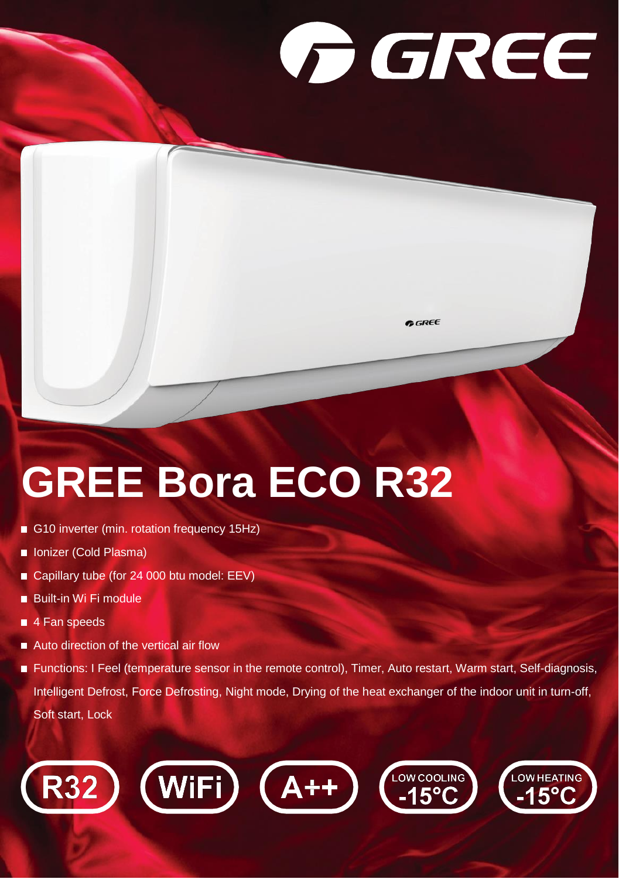## **GREE**

**GREE** 

## **GREE Bora ECO R32**

- G10 inverter (min. rotation frequency 15Hz)
- **In Ionizer (Cold Plasma)**
- Capillary tube (for 24 000 btu model: EEV)
- Built-in Wi Fi module
- 4 Fan speeds
- Auto direction of the vertical air flow
- Functions: I Feel (temperature sensor in the remote control), Timer, Auto restart, Warm start, Self-diagnosis, Intelligent Defrost, Force Defrosting, Night mode, Drying of the heat exchanger of the indoor unit in turn-off, Soft start, Lock